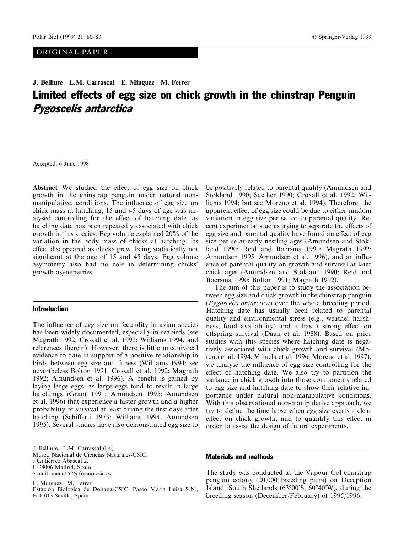# ORIGINAL PAPER

# J. Belliure · L.M. Carrascal · E. Minguez · M. Ferrer Limited effects of egg size on chick growth in the chinstrap Penguin Pygoscelis antarctica

Accepted: 6 June 1998

Abstract We studied the effect of egg size on chick growth in the chinstrap penguin under natural nonmanipulative, conditions. The influence of egg size on chick mass at hatching, 15 and 45 days of age was analysed controlling for the effect of hatching date, as hatching date has been repeatedly associated with chick growth in this species. Egg volume explained 20% of the variation in the body mass of chicks at hatching. Its effect disappeared as chicks grew, being statistically not significant at the age of 15 and 45 days. Egg volume asymmetry also had no role in determining chicks' growth asymmetries.

#### Introduction

The influence of egg size on fecundity in avian species has been widely documented, especially in seabirds (see Magrath 1992; Croxall et al. 1992; Williams 1994, and references therein). However, there is little unequivocal evidence to date in support of a positive relationship in birds between egg size and fitness (Williams 1994; see nevertheless Bolton 1991; Croxall et al. 1992; Magrath 1992; Amundsen et al. 1996). A benefit is gained by laying large eggs, as large eggs tend to result in large hatchlings (Grant 1991; Amundsen 1995; Amundsen et al. 1996) that experience a faster growth and a higher probability of survival at least during the first days after hatching (Schifferli 1973; Williams 1994; Amundsen 1995). Several studies have also demonstrated egg size to

J. Belliure  $\cdot$  L.M. Carrascal ( $\boxtimes$ ) Museo Nacional de Ciencias Naturales-CSIC, J.Gutiérrez Abascal 2, E-28006 Madrid, Spain e-mail: mcnc152@fresno.csic.es

E. Minguez  $\cdot$  M. Ferrer Estación Biológica de Doñana-CSIC, Paseo María Luisa S.N., E-41013 Sevilla, Spain

be positively related to parental quality (Amundsen and Stokland 1990; Saether 1990; Croxall et al. 1992; Williams 1994; but see Moreno et al. 1994). Therefore, the apparent effect of egg size could be due to either random variation in egg size per se, or to parental quality. Recent experimental studies trying to separate the effects of egg size and parental quality have found an effect of egg size per se at early nestling ages (Amundsen and Stokland 1990; Reid and Boersma 1990; Magrath 1992; Amundsen 1995; Amundsen et al. 1996), and an influence of parental quality on growth and survival at later chick ages (Amundsen and Stokland 1990; Reid and Boersma 1990; Bolton 1991; Magrath 1992).

The aim of this paper is to study the association between egg size and chick growth in the chinstrap penguin (Pygoscelis antarctica) over the whole breeding period. Hatching date has usually been related to parental quality and environmental stress (e.g., weather harshness, food availability) and it has a strong effect on offspring survival (Daan et al. 1988). Based on prior studies with this species where hatching date is negatively associated with chick growth and survival (Moreno et al. 1994; Viñuela et al. 1996; Moreno et al. 1997), we analyse the influence of egg size controlling for the effect of hatching date. We also try to partition the variance in chick growth into those components related to egg size and hatching date to show their relative importance under natural non-manipulative conditions. With this observational non-manipulative approach, we try to define the time lapse when egg size exerts a clear effect on chick growth, and to quantify this effect in order to assist the design of future experiments.

### Materials and methods

The study was conducted at the Vapour Col chinstrap penguin colony (20,000 breeding pairs) on Deception Island, South Shetlands  $(63^{\circ}00^{\prime}S, 60^{\circ}40^{\prime}W)$ , during the breeding season (December/February) of 1995/1996.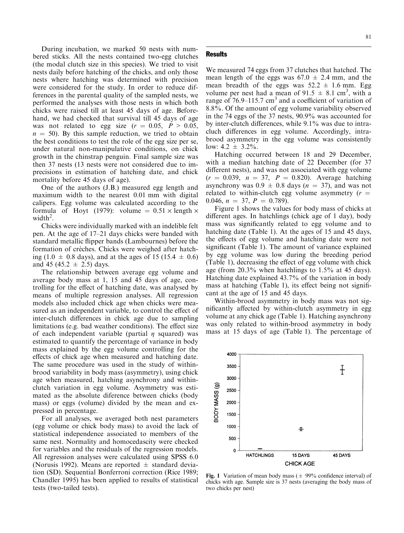During incubation, we marked 50 nests with numbered sticks. All the nests contained two-egg clutches (the modal clutch size in this species). We tried to visit nests daily before hatching of the chicks, and only those nests where hatching was determined with precision were considered for the study. In order to reduce differences in the parental quality of the sampled nests, we performed the analyses with those nests in which both chicks were raised till at least 45 days of age. Beforehand, we had checked that survival till 45 days of age was not related to egg size  $(r = 0.05, P > 0.05,$  $n = 50$ ). By this sample reduction, we tried to obtain the best conditions to test the role of the egg size per se, under natural non-manipulative conditions, on chick growth in the chinstrap penguin. Final sample size was then 37 nests (13 nests were not considered due to imprecisions in estimation of hatching date, and chick mortality before 45 days of age).

One of the authors (J.B.) measured egg length and maximum width to the nearest 0.01 mm with digital calipers. Egg volume was calculated according to the formula of Hoyt (1979): volume =  $0.51 \times$  length  $\times$ width<sup>2</sup>.

Chicks were individually marked with an indelible felt pen. At the age of  $17-21$  days chicks were banded with standard metallic flipper bands (Lambournes) before the formation of crèches. Chicks were weighed after hatching (1.0  $\pm$  0.8 days), and at the ages of 15 (15.4  $\pm$  0.6) and 45 (45.2  $\pm$  2.5) days.

The relationship between average egg volume and average body mass at 1, 15 and 45 days of age, controlling for the effect of hatching date, was analysed by means of multiple regression analyses. All regression models also included chick age when chicks were measured as an independent variable, to control the effect of inter-clutch differences in chick age due to sampling limitations (e.g. bad weather conditions). The effect size of each independent variable (partial  $\eta$  squared) was estimated to quantify the percentage of variance in body mass explained by the egg volume controlling for the effects of chick age when measured and hatching date. The same procedure was used in the study of withinbrood variability in body mass (asymmetry), using chick age when measured, hatching asynchrony and withinclutch variation in egg volume. Asymmetry was estimated as the absolute diference between chicks (body mass) or eggs (volume) divided by the mean and expressed in percentage.

For all analyses, we averaged both nest parameters (egg volume or chick body mass) to avoid the lack of statistical independence associated to members of the same nest. Normality and homocedascity were checked for variables and the residuals of the regression models. All regression analyses were calculated using SPSS 6.0 (Norusis 1992). Means are reported  $\pm$  standard deviation (SD). Sequential Bonferroni correction (Rice 1989; Chandler 1995) has been applied to results of statistical tests (two-tailed tests).

## 81

#### **Results**

We measured 74 eggs from 37 clutches that hatched. The mean length of the eggs was  $67.0 \pm 2.4$  mm, and the mean breadth of the eggs was  $52.2 \pm 1.6$  mm. Egg volume per nest had a mean of  $91.5 \pm 8.1 \text{ cm}^3$ , with a range of  $76.9-115.7$  cm<sup>3</sup> and a coefficient of variation of 8.8%. Of the amount of egg volume variability observed in the 74 eggs of the 37 nests, 90.9% was accounted for by inter-clutch differences, while  $9.1\%$  was due to intracluch differences in egg volume. Accordingly, intrabrood asymmetry in the egg volume was consistently low:  $4.2 \pm 3.2\%$ .

Hatching occurred between 18 and 29 December, with a median hatching date of 22 December (for 37 different nests), and was not associated with egg volume  $(r = 0.039, n = 37, P = 0.820)$ . Average hatching asynchrony was  $0.9 \pm 0.8$  days ( $n = 37$ ), and was not related to within-clutch egg volume asymmetry  $(r =$ 0.046,  $n = 37$ ,  $P = 0.789$ .

Figure 1 shows the values for body mass of chicks at different ages. In hatchlings (chick age of 1 day), body mass was significantly related to egg volume and to hatching date (Table 1). At the ages of 15 and 45 days, the effects of egg volume and hatching date were not significant (Table 1). The amount of variance explained by egg volume was low during the breeding period (Table 1), decreasing the effect of egg volume with chick age (from 20.3% when hatchlings to 1.5% at 45 days). Hatching date explained 43.7% of the variation in body mass at hatching (Table 1), its effect being not significant at the age of 15 and 45 days.

Within-brood asymmetry in body mass was not significantly affected by within-clutch asymmetry in egg volume at any chick age (Table 1). Hatching asynchrony was only related to within-brood asymmetry in body mass at 15 days of age (Table 1). The percentage of



Fig. 1 Variation of mean body mass ( $\pm$  99% confidence interval) of chicks with age. Sample size is 37 nests (averaging the body mass of two chicks per nest)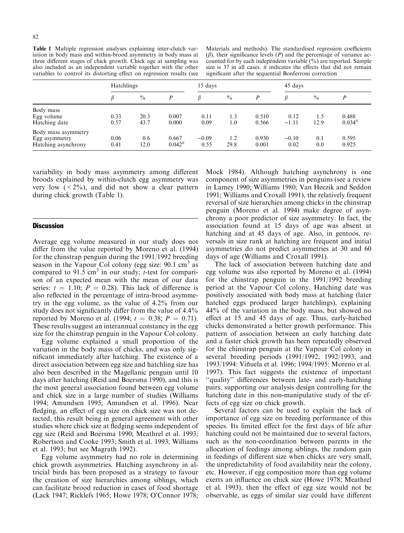Table 1 Multiple regression analyses explaining inter-clutch variation in body mass and within-brood asymmetry in body mass at three different stages of chick growth. Chick age at sampling was also included as an independent variable together with the other variables to control its distorting effect on regression results (see

Materials and methods). The standardised regression coefficients  $(\beta)$ , their significance levels  $(P)$  and the percentage of variance accounted for by each independent variable (%) are reported. Sample size is 37 in all cases.  $#$  indicates the effects that did not remain significant after the sequential Bonferroni correction

|                     | Hatchlings |               |             | 15 days |               |       | 45 days |               |             |
|---------------------|------------|---------------|-------------|---------|---------------|-------|---------|---------------|-------------|
|                     |            | $\frac{0}{0}$ | P           |         | $\frac{0}{0}$ | P     |         | $\frac{0}{0}$ | D           |
| Body mass           |            |               |             |         |               |       |         |               |             |
| Egg volume          | 0.33       | 20.3          | 0.007       | 0.11    | 1.3           | 0.510 | 0.12    | 1.5           | 0.488       |
| Hatching date       | 0.57       | 43.7          | 0.000       | 0.09    | 1.0           | 0.566 | $-1.11$ | 12.9          | $0.034^{#}$ |
| Body mass asymmetry |            |               |             |         |               |       |         |               |             |
| Egg asymmetry       | 0.06       | 0.6           | 0.667       | $-0.09$ | 1.2           | 0.930 | $-0.10$ | 0.1           | 0.595       |
| Hatching asynchrony | 0.41       | 12.0          | $0.042^{#}$ | 0.55    | 29.8          | 0.001 | 0.02    | 0.0           | 0.925       |

variability in body mass asymmetry among different broods explained by within-clutch egg asymmetry was very low  $( $2\%$ )$ , and did not show a clear pattern during chick growth (Table 1).

# **Discussion**

Average egg volume measured in our study does not differ from the value reported by Moreno et al. (1994) for the chinstrap penguin during the 1991/1992 breeding season in the Vapour Col colony (egg size:  $90.1 \text{ cm}^3$  as compared to  $91.5 \text{ cm}^3$  in our study; *t*-test for comparison of an expected mean with the mean of our data series:  $t = 1.10$ ;  $P = 0.28$ ). This lack of difference is also reflected in the percentage of intra-brood asymmetry in the egg volume, as the value of 4.2% from our study does not significantly differ from the value of  $4.4\%$ reported by Moreno et al. (1994;  $t = 0.38$ ;  $P = 0.71$ ). These results suggest an interannual constancy in the egg size for the chinstrap penguin in the Vapour Col colony.

Egg volume explained a small proportion of the variation in the body mass of chicks, and was only significant immediately after hatching. The existence of a direct association between egg size and hatchling size has also been described in the Magellanic penguin until 10 days after hatching (Reid and Boersma 1990), and this is the most general association found between egg volume and chick size in a large number of studies (Williams 1994; Amundsen 1995; Amundsen et al. 1996). Near fledging, an effect of egg size on chick size was not detected, this result being in general agreement with other studies where chick size at fledging seems independent of egg size (Reid and Boersma 1990; Meathrel et al. 1993; Robertson and Cooke 1993; Smith et al. 1993; Williams et al. 1993; but see Magrath 1992).

Egg volume asymmetry had no role in determining chick growth asymmetries. Hatching asynchrony in altricial birds has been proposed as a strategy to favour the creation of size hierarchies among siblings, which can facilitate brood reduction in cases of food shortage (Lack 1947; Ricklefs 1965; Howe 1978; O'Connor 1978;

Mock 1984). Although hatching asynchrony is one component of size asymmetries in penguins (see a review in Lamey 1990; Williams 1980; Van Heezik and Seddon 1991; Williams and Croxall 1991), the relatively frequent reversal of size hierarchies among chicks in the chinstrap penguin (Moreno et al. 1994) make degree of asynchrony a poor predictor of size asymmetry. In fact, the association found at 15 days of age was absent at hatching and at 45 days of age. Also, in gentoos, reversals in size rank at hatching are frequent and initial asymmetries do not predict asymmetries at 30 and 60 days of age (Williams and Croxall 1991).

The lack of association between hatching date and egg volume was also reported by Moreno et al. (1994) for the chinstrap penguin in the 1991/1992 breeding period at the Vapour Col colony. Hatching date was positively associated with body mass at hatching (later hatched eggs produced larger hatchlings), explaining 44% of the variation in the body mass, but showed no effect at 15 and 45 days of age. Thus, early-hatched chicks demonstrated a better growth performance. This pattern of association between an early hatching date and a faster chick growth has been repeatedly observed for the chinstrap penguin at the Vapour Col colony in several breeding periods (1991/1992, 1992/1993, and 1993/1994: VinÄuela et al. 1996; 1994/1995: Moreno et al. 1997). This fact suggests the existence of important "quality" differences between late- and early-hatching pairs, supporting our analysis design controlling for the hatching date in this non-manipulative study of the effects of egg size on chick growth.

Several factors can be used to explain the lack of importance of egg size on breeding performance of this species. Its limited effect for the first days of life after hatching could not be maintained due to several factors, such as the non-coordination between parents in the allocation of feedings among siblings, the random gain in feedings of different size when chicks are very small, the unpredictability of food availability near the colony, etc. However, if egg composition more than egg volume exerts an influence on chick size (Howe 1978; Meathrel et al. 1993), then the effect of egg size would not be observable, as eggs of similar size could have different